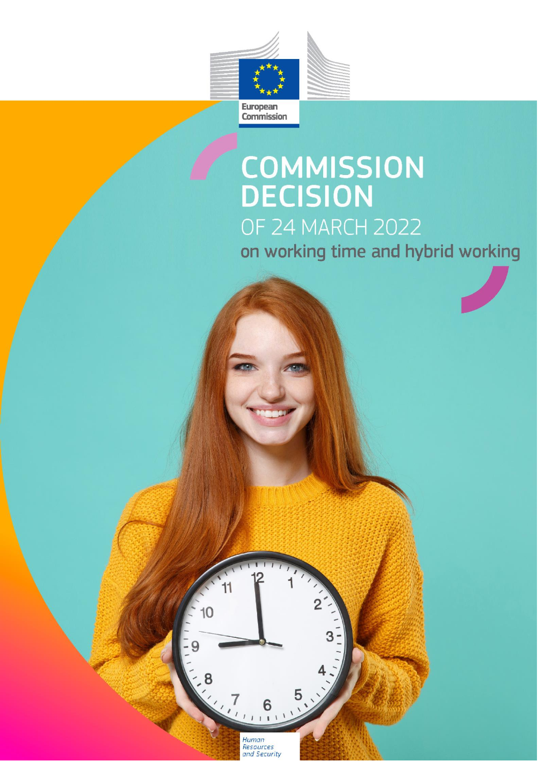

# **COMMISSION**<br>DECISION **OF 24 MARCH 2022** on working time and hybrid working



 $\begin{array}{c}\n 8 \\
\times \sqrt{7} \\
\hline\n 1\n \end{array}$ Human Resources<br>and Security

11

 $10$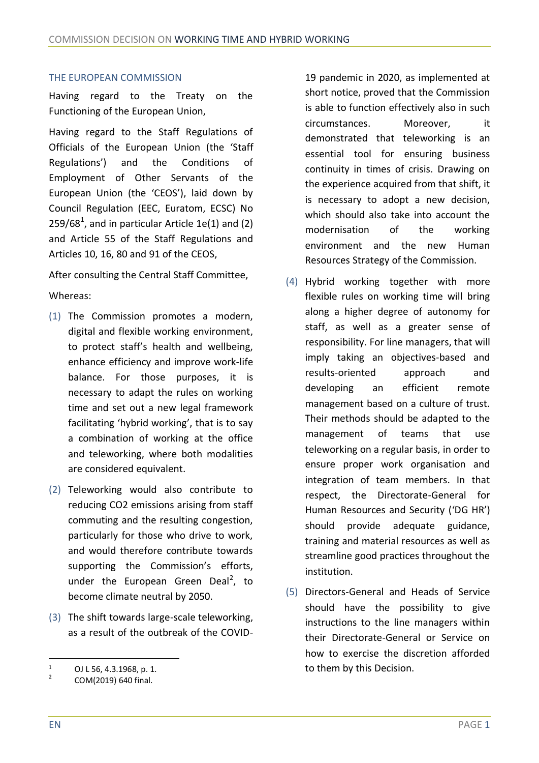#### THE EUROPEAN COMMISSION

Having regard to the Treaty on the Functioning of the European Union,

Having regard to the Staff Regulations of Officials of the European Union (the 'Staff Regulations') and the Conditions of Employment of Other Servants of the European Union (the 'CEOS'), laid down by Council Regulation (EEC, Euratom, ECSC) No  $259/68<sup>1</sup>$ , and in particular Article 1e(1) and (2) and Article 55 of the Staff Regulations and Articles 10, 16, 80 and 91 of the CEOS,

After consulting the Central Staff Committee,

#### Whereas:

- (1) The Commission promotes a modern, digital and flexible working environment, to protect staff's health and wellbeing, enhance efficiency and improve work-life balance. For those purposes, it is necessary to adapt the rules on working time and set out a new legal framework facilitating 'hybrid working', that is to say a combination of working at the office and teleworking, where both modalities are considered equivalent.
- (2) Teleworking would also contribute to reducing CO2 emissions arising from staff commuting and the resulting congestion, particularly for those who drive to work, and would therefore contribute towards supporting the Commission's efforts, under the European Green Deal<sup>2</sup>, to become climate neutral by 2050.
- (3) The shift towards large-scale teleworking, as a result of the outbreak of the COVID-

19 pandemic in 2020, as implemented at short notice, proved that the Commission is able to function effectively also in such circumstances. Moreover, it demonstrated that teleworking is an essential tool for ensuring business continuity in times of crisis. Drawing on the experience acquired from that shift, it is necessary to adopt a new decision, which should also take into account the modernisation of the working environment and the new Human Resources Strategy of the Commission.

- (4) Hybrid working together with more flexible rules on working time will bring along a higher degree of autonomy for staff, as well as a greater sense of responsibility. For line managers, that will imply taking an objectives-based and results-oriented approach and developing an efficient remote management based on a culture of trust. Their methods should be adapted to the management of teams that use teleworking on a regular basis, in order to ensure proper work organisation and integration of team members. In that respect, the Directorate-General for Human Resources and Security ('DG HR') should provide adequate guidance, training and material resources as well as streamline good practices throughout the institution.
- (5) Directors-General and Heads of Service should have the possibility to give instructions to the line managers within their Directorate-General or Service on how to exercise the discretion afforded to them by this Decision.

 $^{1}$  OJ L 56, 4.3.1968, p. 1.

<sup>2</sup> COM(2019) 640 final.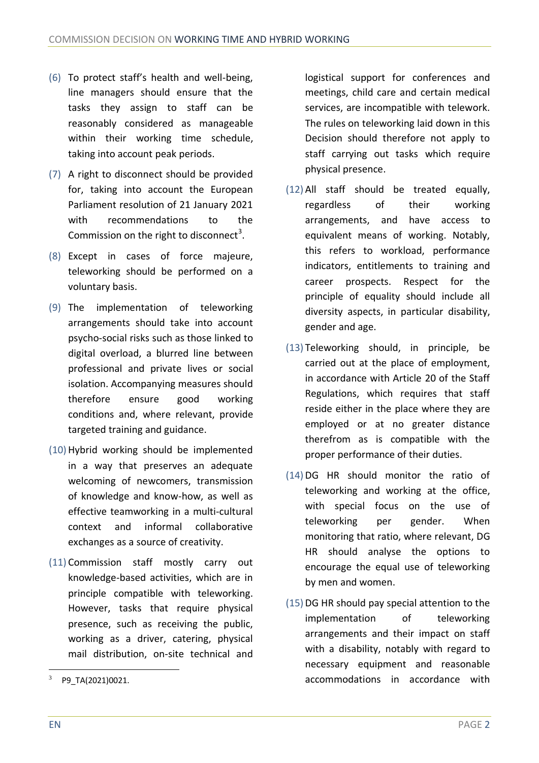- (6) To protect staff's health and well-being, line managers should ensure that the tasks they assign to staff can be reasonably considered as manageable within their working time schedule, taking into account peak periods.
- (7) A right to disconnect should be provided for, taking into account the European Parliament resolution of 21 January 2021 with recommendations to the Commission on the right to disconnect<sup>3</sup>.
- (8) Except in cases of force majeure, teleworking should be performed on a voluntary basis.
- (9) The implementation of teleworking arrangements should take into account psycho-social risks such as those linked to digital overload, a blurred line between professional and private lives or social isolation. Accompanying measures should therefore ensure good working conditions and, where relevant, provide targeted training and guidance.
- (10) Hybrid working should be implemented in a way that preserves an adequate welcoming of newcomers, transmission of knowledge and know-how, as well as effective teamworking in a multi-cultural context and informal collaborative exchanges as a source of creativity.
- (11) Commission staff mostly carry out knowledge-based activities, which are in principle compatible with teleworking. However, tasks that require physical presence, such as receiving the public, working as a driver, catering, physical mail distribution, on-site technical and

logistical support for conferences and meetings, child care and certain medical services, are incompatible with telework. The rules on teleworking laid down in this Decision should therefore not apply to staff carrying out tasks which require physical presence.

- (12) All staff should be treated equally, regardless of their working arrangements, and have access to equivalent means of working. Notably, this refers to workload, performance indicators, entitlements to training and career prospects. Respect for the principle of equality should include all diversity aspects, in particular disability, gender and age.
- (13) Teleworking should, in principle, be carried out at the place of employment, in accordance with Article 20 of the Staff Regulations, which requires that staff reside either in the place where they are employed or at no greater distance therefrom as is compatible with the proper performance of their duties.
- (14) DG HR should monitor the ratio of teleworking and working at the office, with special focus on the use of teleworking per gender. When monitoring that ratio, where relevant, DG HR should analyse the options to encourage the equal use of teleworking by men and women.
- (15) DG HR should pay special attention to the implementation of teleworking arrangements and their impact on staff with a disability, notably with regard to necessary equipment and reasonable accommodations in accordance with

P9\_TA(2021)0021.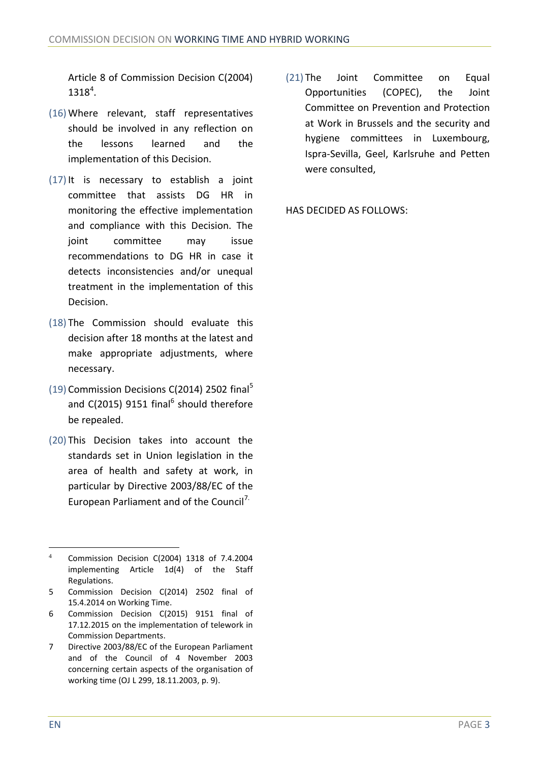Article 8 of Commission Decision C(2004)  $1318^{4}$ .

- (16) Where relevant, staff representatives should be involved in any reflection on the lessons learned and the implementation of this Decision.
- (17) It is necessary to establish a joint committee that assists DG HR in monitoring the effective implementation and compliance with this Decision. The joint committee may issue recommendations to DG HR in case it detects inconsistencies and/or unequal treatment in the implementation of this Decision.
- (18) The Commission should evaluate this decision after 18 months at the latest and make appropriate adjustments, where necessary.
- (19) Commission Decisions C(2014) 2502 final<sup>5</sup> and C(2015) 9151 final<sup>6</sup> should therefore be repealed.
- (20) This Decision takes into account the standards set in Union legislation in the area of health and safety at work, in particular by Directive 2003/88/EC of the European Parliament and of the Council<sup>7.</sup>

(21) The Joint Committee on Equal Opportunities (COPEC), the Joint Committee on Prevention and Protection at Work in Brussels and the security and hygiene committees in Luxembourg, Ispra-Sevilla, Geel, Karlsruhe and Petten were consulted,

HAS DECIDED AS FOLLOWS:

<sup>4</sup> Commission Decision C(2004) 1318 of 7.4.2004 implementing Article 1d(4) of the Staff Regulations.

<sup>5</sup> Commission Decision C(2014) 2502 final of 15.4.2014 on Working Time.

<sup>6</sup> Commission Decision C(2015) 9151 final of 17.12.2015 on the implementation of telework in Commission Departments.

<sup>7</sup> Directive 2003/88/EC of the European Parliament and of the Council of 4 November 2003 concerning certain aspects of the organisation of working time (OJ L 299, 18.11.2003, p. 9).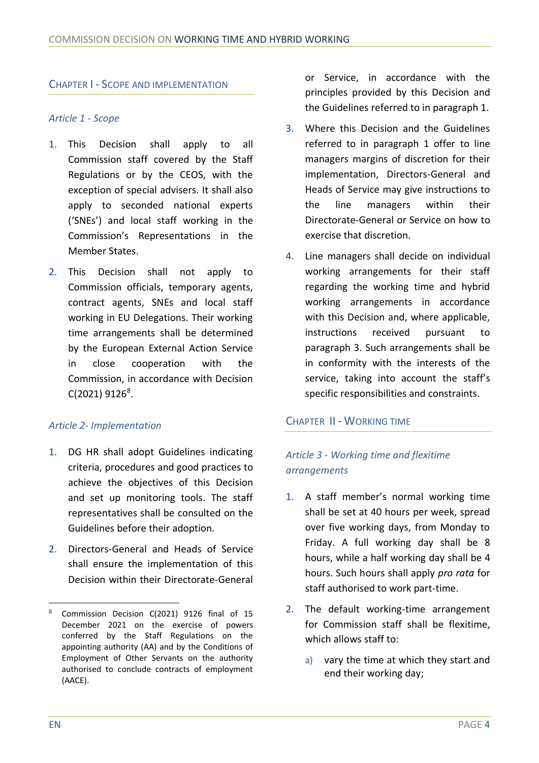## CHAPTER I - SCOPE AND IMPLEMENTATION

#### *Article 1 - Scope*

- 1. This Decision shall apply to all Commission staff covered by the Staff Regulations or by the CEOS, with the exception of special advisers. It shall also apply to seconded national experts ('SNEs') and local staff working in the Commission's Representations in the Member States.
- 2. This Decision shall not apply to Commission officials, temporary agents, contract agents, SNEs and local staff working in EU Delegations. Their working time arrangements shall be determined by the European External Action Service in close cooperation with the Commission, in accordance with Decision  $C(2021)$  9126<sup>8</sup>.

#### *Article 2- Implementation*

- 1. DG HR shall adopt Guidelines indicating criteria, procedures and good practices to achieve the objectives of this Decision and set up monitoring tools. The staff representatives shall be consulted on the Guidelines before their adoption.
- 2. Directors-General and Heads of Service shall ensure the implementation of this Decision within their Directorate-General

or Service, in accordance with the principles provided by this Decision and the Guidelines referred to in paragraph 1.

- 3. Where this Decision and the Guidelines referred to in paragraph 1 offer to line managers margins of discretion for their implementation, Directors-General and Heads of Service may give instructions to the line managers within their Directorate-General or Service on how to exercise that discretion.
- 4. Line managers shall decide on individual working arrangements for their staff regarding the working time and hybrid working arrangements in accordance with this Decision and, where applicable, instructions received pursuant to paragraph 3. Such arrangements shall be in conformity with the interests of the service, taking into account the staff's specific responsibilities and constraints.

#### CHAPTER II - WORKING TIME

# *Article 3 - Working time and flexitime arrangements*

- 1. A staff member's normal working time shall be set at 40 hours per week, spread over five working days, from Monday to Friday. A full working day shall be 8 hours, while a half working day shall be 4 hours. Such hours shall apply *pro rata* for staff authorised to work part-time.
- 2. The default working-time arrangement for Commission staff shall be flexitime, which allows staff to:
	- a) vary the time at which they start and end their working day;

Commission Decision C(2021) 9126 final of 15 December 2021 on the exercise of powers conferred by the Staff Regulations on the appointing authority (AA) and by the Conditions of Employment of Other Servants on the authority authorised to conclude contracts of employment (AACE).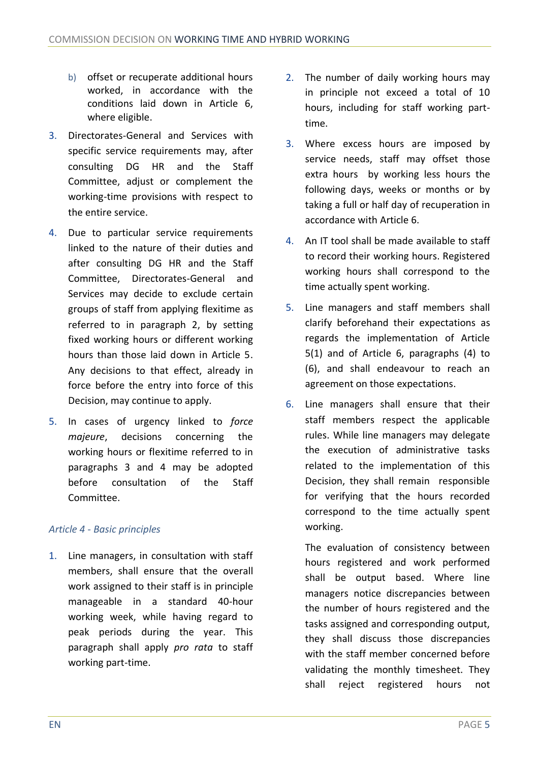- b) offset or recuperate additional hours worked, in accordance with the conditions laid down in Article 6, where eligible.
- 3. Directorates-General and Services with specific service requirements may, after consulting DG HR and the Staff Committee, adjust or complement the working-time provisions with respect to the entire service.
- 4. Due to particular service requirements linked to the nature of their duties and after consulting DG HR and the Staff Committee, Directorates-General and Services may decide to exclude certain groups of staff from applying flexitime as referred to in paragraph 2, by setting fixed working hours or different working hours than those laid down in Article 5. Any decisions to that effect, already in force before the entry into force of this Decision, may continue to apply.
- 5. In cases of urgency linked to *force majeure*, decisions concerning the working hours or flexitime referred to in paragraphs 3 and 4 may be adopted before consultation of the Staff Committee.

## *Article 4 - Basic principles*

1. Line managers, in consultation with staff members, shall ensure that the overall work assigned to their staff is in principle manageable in a standard 40-hour working week, while having regard to peak periods during the year. This paragraph shall apply *pro rata* to staff working part-time.

- 2. The number of daily working hours may in principle not exceed a total of 10 hours, including for staff working parttime.
- 3. Where excess hours are imposed by service needs, staff may offset those extra hours by working less hours the following days, weeks or months or by taking a full or half day of recuperation in accordance with Article 6.
- 4. An IT tool shall be made available to staff to record their working hours. Registered working hours shall correspond to the time actually spent working.
- 5. Line managers and staff members shall clarify beforehand their expectations as regards the implementation of Article 5(1) and of Article 6, paragraphs (4) to (6), and shall endeavour to reach an agreement on those expectations.
- 6. Line managers shall ensure that their staff members respect the applicable rules. While line managers may delegate the execution of administrative tasks related to the implementation of this Decision, they shall remain responsible for verifying that the hours recorded correspond to the time actually spent working.

The evaluation of consistency between hours registered and work performed shall be output based. Where line managers notice discrepancies between the number of hours registered and the tasks assigned and corresponding output, they shall discuss those discrepancies with the staff member concerned before validating the monthly timesheet. They shall reject registered hours not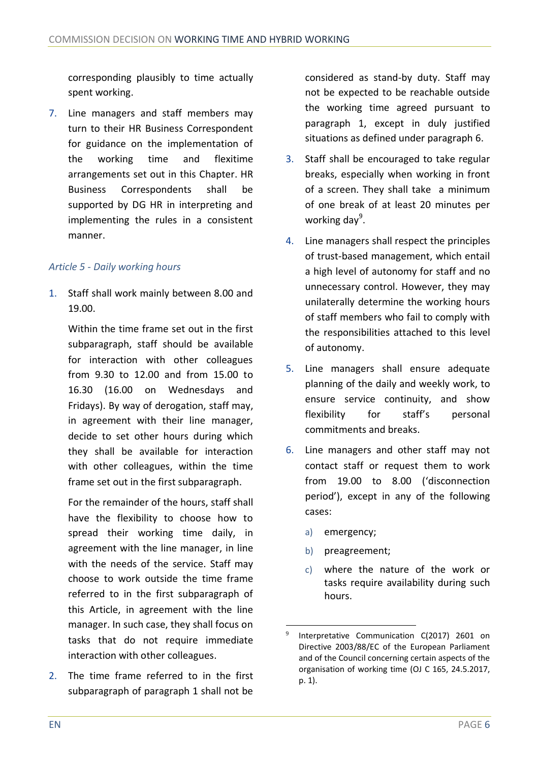corresponding plausibly to time actually spent working.

7. Line managers and staff members may turn to their HR Business Correspondent for guidance on the implementation of the working time and flexitime arrangements set out in this Chapter. HR Business Correspondents shall be supported by DG HR in interpreting and implementing the rules in a consistent manner.

## *Article 5 - Daily working hours*

1. Staff shall work mainly between 8.00 and 19.00.

Within the time frame set out in the first subparagraph, staff should be available for interaction with other colleagues from 9.30 to 12.00 and from 15.00 to 16.30 (16.00 on Wednesdays and Fridays). By way of derogation, staff may, in agreement with their line manager, decide to set other hours during which they shall be available for interaction with other colleagues, within the time frame set out in the first subparagraph.

For the remainder of the hours, staff shall have the flexibility to choose how to spread their working time daily, in agreement with the line manager, in line with the needs of the service. Staff may choose to work outside the time frame referred to in the first subparagraph of this Article, in agreement with the line manager. In such case, they shall focus on tasks that do not require immediate interaction with other colleagues.

2. The time frame referred to in the first subparagraph of paragraph 1 shall not be

considered as stand-by duty. Staff may not be expected to be reachable outside the working time agreed pursuant to paragraph 1, except in duly justified situations as defined under paragraph 6.

- 3. Staff shall be encouraged to take regular breaks, especially when working in front of a screen. They shall take a minimum of one break of at least 20 minutes per working day<sup>9</sup>.
- 4. Line managers shall respect the principles of trust-based management, which entail a high level of autonomy for staff and no unnecessary control. However, they may unilaterally determine the working hours of staff members who fail to comply with the responsibilities attached to this level of autonomy.
- 5. Line managers shall ensure adequate planning of the daily and weekly work, to ensure service continuity, and show flexibility for staff's personal commitments and breaks.
- 6. Line managers and other staff may not contact staff or request them to work from 19.00 to 8.00 ('disconnection period'), except in any of the following cases:
	- a) emergency;
	- b) preagreement;
	- c) where the nature of the work or tasks require availability during such hours.

<sup>9</sup> Interpretative Communication C(2017) 2601 on Directive 2003/88/EC of the European Parliament and of the Council concerning certain aspects of the organisation of working time (OJ C 165, 24.5.2017, p. 1).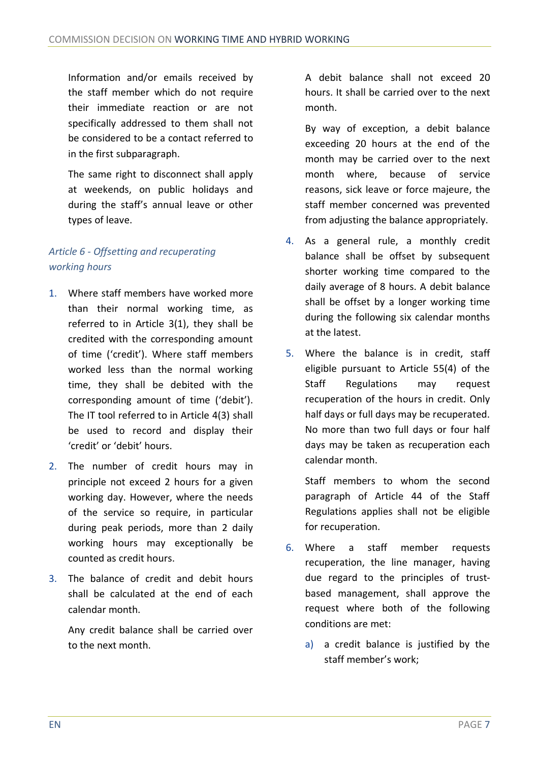Information and/or emails received by the staff member which do not require their immediate reaction or are not specifically addressed to them shall not be considered to be a contact referred to in the first subparagraph.

The same right to disconnect shall apply at weekends, on public holidays and during the staff's annual leave or other types of leave.

# *Article 6 - Offsetting and recuperating working hours*

- 1. Where staff members have worked more than their normal working time, as referred to in Article 3(1), they shall be credited with the corresponding amount of time ('credit'). Where staff members worked less than the normal working time, they shall be debited with the corresponding amount of time ('debit'). The IT tool referred to in Article 4(3) shall be used to record and display their 'credit' or 'debit' hours.
- 2. The number of credit hours may in principle not exceed 2 hours for a given working day. However, where the needs of the service so require, in particular during peak periods, more than 2 daily working hours may exceptionally be counted as credit hours.
- 3. The balance of credit and debit hours shall be calculated at the end of each calendar month.

Any credit balance shall be carried over to the next month.

A debit balance shall not exceed 20 hours. It shall be carried over to the next month.

By way of exception, a debit balance exceeding 20 hours at the end of the month may be carried over to the next month where, because of service reasons, sick leave or force majeure, the staff member concerned was prevented from adjusting the balance appropriately.

- 4. As a general rule, a monthly credit balance shall be offset by subsequent shorter working time compared to the daily average of 8 hours. A debit balance shall be offset by a longer working time during the following six calendar months at the latest.
- 5. Where the balance is in credit, staff eligible pursuant to Article 55(4) of the Staff Regulations may request recuperation of the hours in credit. Only half days or full days may be recuperated. No more than two full days or four half days may be taken as recuperation each calendar month.

Staff members to whom the second paragraph of Article 44 of the Staff Regulations applies shall not be eligible for recuperation.

- 6. Where a staff member requests recuperation, the line manager, having due regard to the principles of trustbased management, shall approve the request where both of the following conditions are met:
	- a) a credit balance is justified by the staff member's work;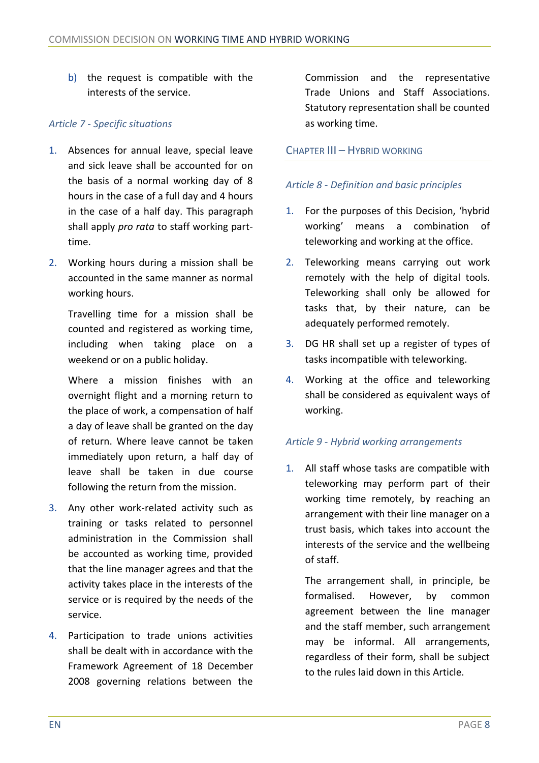b) the request is compatible with the interests of the service.

## *Article 7 - Specific situations*

- 1. Absences for annual leave, special leave and sick leave shall be accounted for on the basis of a normal working day of 8 hours in the case of a full day and 4 hours in the case of a half day. This paragraph shall apply *pro rata* to staff working parttime.
- 2. Working hours during a mission shall be accounted in the same manner as normal working hours.

Travelling time for a mission shall be counted and registered as working time, including when taking place on a weekend or on a public holiday.

Where a mission finishes with an overnight flight and a morning return to the place of work, a compensation of half a day of leave shall be granted on the day of return. Where leave cannot be taken immediately upon return, a half day of leave shall be taken in due course following the return from the mission.

- 3. Any other work-related activity such as training or tasks related to personnel administration in the Commission shall be accounted as working time, provided that the line manager agrees and that the activity takes place in the interests of the service or is required by the needs of the service.
- 4. Participation to trade unions activities shall be dealt with in accordance with the Framework Agreement of 18 December 2008 governing relations between the

Commission and the representative Trade Unions and Staff Associations. Statutory representation shall be counted as working time.

## CHAPTER III – HYBRID WORKING

## *Article 8 - Definition and basic principles*

- 1. For the purposes of this Decision, 'hybrid working' means a combination of teleworking and working at the office.
- 2. Teleworking means carrying out work remotely with the help of digital tools. Teleworking shall only be allowed for tasks that, by their nature, can be adequately performed remotely.
- 3. DG HR shall set up a register of types of tasks incompatible with teleworking.
- 4. Working at the office and teleworking shall be considered as equivalent ways of working.

#### *Article 9 - Hybrid working arrangements*

1. All staff whose tasks are compatible with teleworking may perform part of their working time remotely, by reaching an arrangement with their line manager on a trust basis, which takes into account the interests of the service and the wellbeing of staff.

The arrangement shall, in principle, be formalised. However, by common agreement between the line manager and the staff member, such arrangement may be informal. All arrangements, regardless of their form, shall be subject to the rules laid down in this Article.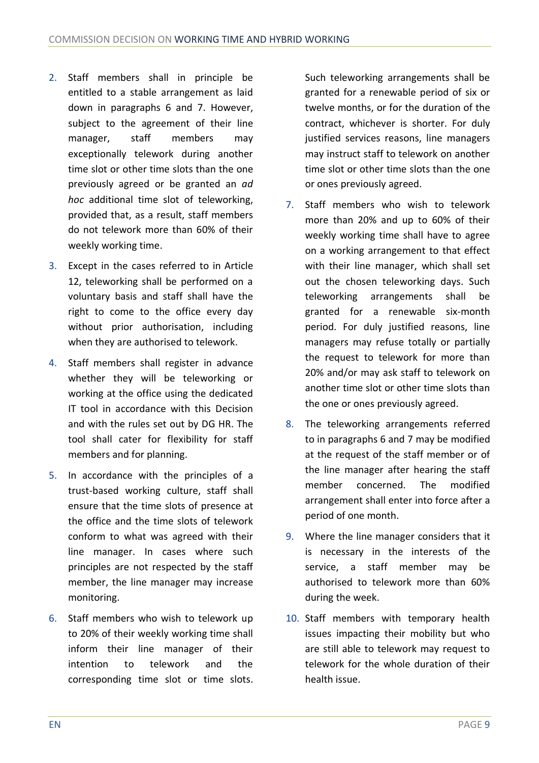- 2. Staff members shall in principle be entitled to a stable arrangement as laid down in paragraphs 6 and 7. However, subject to the agreement of their line manager, staff members may exceptionally telework during another time slot or other time slots than the one previously agreed or be granted an *ad hoc* additional time slot of teleworking, provided that, as a result, staff members do not telework more than 60% of their weekly working time.
- 3. Except in the cases referred to in Article 12, teleworking shall be performed on a voluntary basis and staff shall have the right to come to the office every day without prior authorisation, including when they are authorised to telework.
- 4. Staff members shall register in advance whether they will be teleworking or working at the office using the dedicated IT tool in accordance with this Decision and with the rules set out by DG HR. The tool shall cater for flexibility for staff members and for planning.
- 5. In accordance with the principles of a trust-based working culture, staff shall ensure that the time slots of presence at the office and the time slots of telework conform to what was agreed with their line manager. In cases where such principles are not respected by the staff member, the line manager may increase monitoring.
- 6. Staff members who wish to telework up to 20% of their weekly working time shall inform their line manager of their intention to telework and the corresponding time slot or time slots.

Such teleworking arrangements shall be granted for a renewable period of six or twelve months, or for the duration of the contract, whichever is shorter. For duly justified services reasons, line managers may instruct staff to telework on another time slot or other time slots than the one or ones previously agreed.

- 7. Staff members who wish to telework more than 20% and up to 60% of their weekly working time shall have to agree on a working arrangement to that effect with their line manager, which shall set out the chosen teleworking days. Such teleworking arrangements shall be granted for a renewable six-month period. For duly justified reasons, line managers may refuse totally or partially the request to telework for more than 20% and/or may ask staff to telework on another time slot or other time slots than the one or ones previously agreed.
- 8. The teleworking arrangements referred to in paragraphs 6 and 7 may be modified at the request of the staff member or of the line manager after hearing the staff member concerned. The modified arrangement shall enter into force after a period of one month.
- 9. Where the line manager considers that it is necessary in the interests of the service, a staff member may be authorised to telework more than 60% during the week.
- 10. Staff members with temporary health issues impacting their mobility but who are still able to telework may request to telework for the whole duration of their health issue.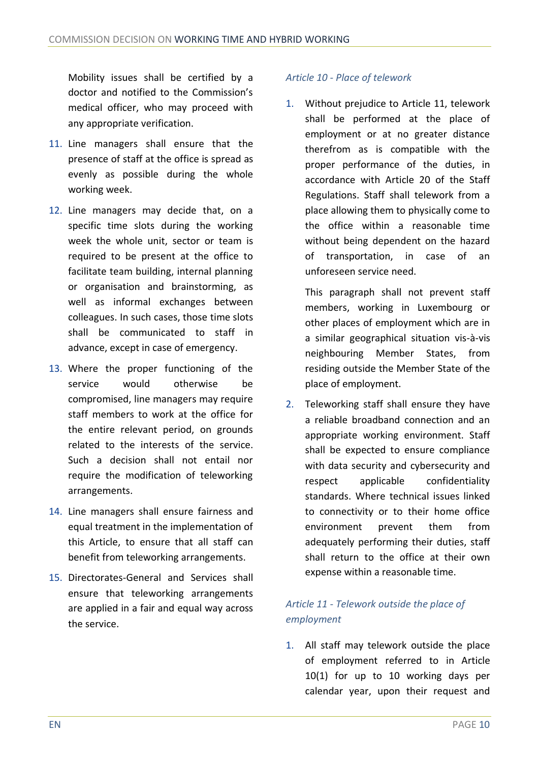Mobility issues shall be certified by a doctor and notified to the Commission's medical officer, who may proceed with any appropriate verification.

- 11. Line managers shall ensure that the presence of staff at the office is spread as evenly as possible during the whole working week.
- 12. Line managers may decide that, on a specific time slots during the working week the whole unit, sector or team is required to be present at the office to facilitate team building, internal planning or organisation and brainstorming, as well as informal exchanges between colleagues. In such cases, those time slots shall be communicated to staff in advance, except in case of emergency.
- 13. Where the proper functioning of the service would otherwise be compromised, line managers may require staff members to work at the office for the entire relevant period, on grounds related to the interests of the service. Such a decision shall not entail nor require the modification of teleworking arrangements.
- 14. Line managers shall ensure fairness and equal treatment in the implementation of this Article, to ensure that all staff can benefit from teleworking arrangements.
- 15. Directorates-General and Services shall ensure that teleworking arrangements are applied in a fair and equal way across the service.

#### *Article 10 - Place of telework*

1. Without prejudice to Article 11, telework shall be performed at the place of employment or at no greater distance therefrom as is compatible with the proper performance of the duties, in accordance with Article 20 of the Staff Regulations. Staff shall telework from a place allowing them to physically come to the office within a reasonable time without being dependent on the hazard of transportation, in case of an unforeseen service need.

This paragraph shall not prevent staff members, working in Luxembourg or other places of employment which are in a similar geographical situation vis-à-vis neighbouring Member States, from residing outside the Member State of the place of employment.

2. Teleworking staff shall ensure they have a reliable broadband connection and an appropriate working environment. Staff shall be expected to ensure compliance with data security and cybersecurity and respect applicable confidentiality standards. Where technical issues linked to connectivity or to their home office environment prevent them from adequately performing their duties, staff shall return to the office at their own expense within a reasonable time.

# *Article 11 - Telework outside the place of employment*

1. All staff may telework outside the place of employment referred to in Article 10(1) for up to 10 working days per calendar year, upon their request and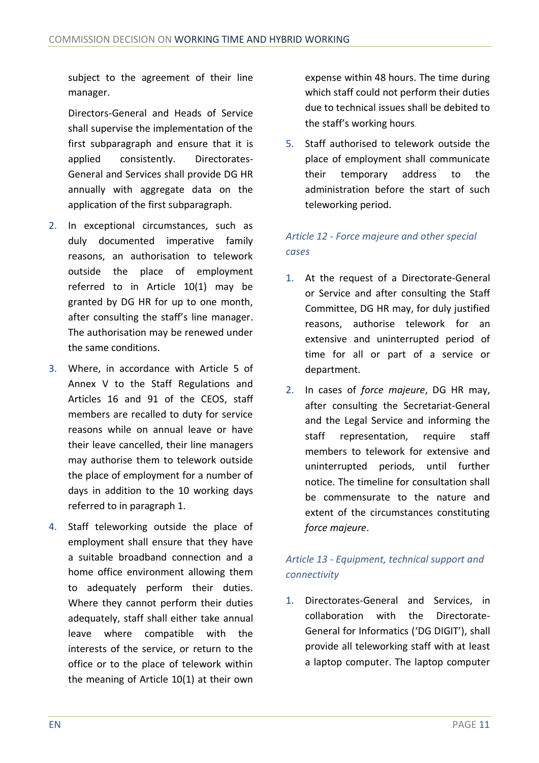subject to the agreement of their line manager.

Directors-General and Heads of Service shall supervise the implementation of the first subparagraph and ensure that it is applied consistently. Directorates-General and Services shall provide DG HR annually with aggregate data on the application of the first subparagraph.

- 2. In exceptional circumstances, such as duly documented imperative family reasons, an authorisation to telework outside the place of employment referred to in Article 10(1) may be granted by DG HR for up to one month, after consulting the staff's line manager. The authorisation may be renewed under the same conditions.
- 3. Where, in accordance with Article 5 of Annex V to the Staff Regulations and Articles 16 and 91 of the CEOS, staff members are recalled to duty for service reasons while on annual leave or have their leave cancelled, their line managers may authorise them to telework outside the place of employment for a number of days in addition to the 10 working days referred to in paragraph 1.
- 4. Staff teleworking outside the place of employment shall ensure that they have a suitable broadband connection and a home office environment allowing them to adequately perform their duties. Where they cannot perform their duties adequately, staff shall either take annual leave where compatible with the interests of the service, or return to the office or to the place of telework within the meaning of Article 10(1) at their own

expense within 48 hours. The time during which staff could not perform their duties due to technical issues shall be debited to the staff's working hours.

5. Staff authorised to telework outside the place of employment shall communicate their temporary address to the administration before the start of such teleworking period.

# *Article 12 - Force majeure and other special cases*

- 1. At the request of a Directorate-General or Service and after consulting the Staff Committee, DG HR may, for duly justified reasons, authorise telework for an extensive and uninterrupted period of time for all or part of a service or department.
- 2. In cases of *force majeure*, DG HR may, after consulting the Secretariat-General and the Legal Service and informing the staff representation, require staff members to telework for extensive and uninterrupted periods, until further notice. The timeline for consultation shall be commensurate to the nature and extent of the circumstances constituting *force majeure*.

# *Article 13 - Equipment, technical support and connectivity*

1. Directorates-General and Services, in collaboration with the Directorate-General for Informatics ('DG DIGIT'), shall provide all teleworking staff with at least a laptop computer. The laptop computer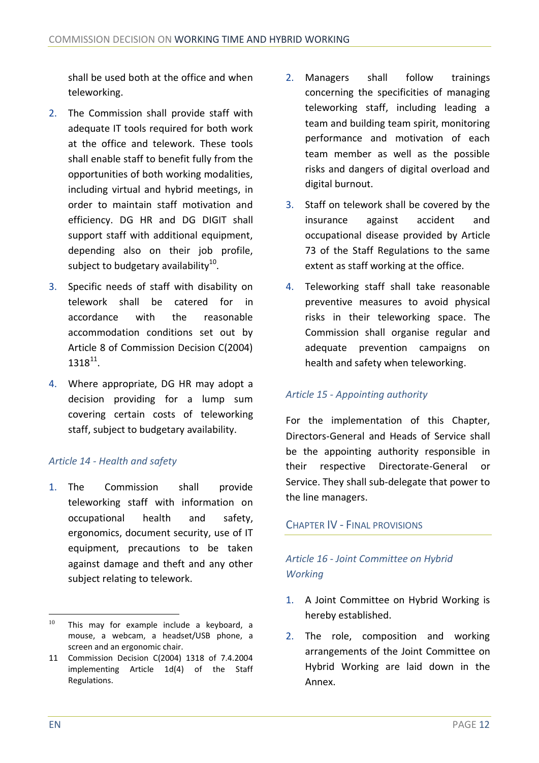shall be used both at the office and when teleworking.

- 2. The Commission shall provide staff with adequate IT tools required for both work at the office and telework. These tools shall enable staff to benefit fully from the opportunities of both working modalities, including virtual and hybrid meetings, in order to maintain staff motivation and efficiency. DG HR and DG DIGIT shall support staff with additional equipment, depending also on their job profile, subject to budgetary availability $^{10}$ .
- 3. Specific needs of staff with disability on telework shall be catered for in accordance with the reasonable accommodation conditions set out by Article 8 of Commission Decision C(2004)  $1318^{11}$ .
- 4. Where appropriate, DG HR may adopt a decision providing for a lump sum covering certain costs of teleworking staff, subject to budgetary availability.

## *Article 14 - Health and safety*

1. The Commission shall provide teleworking staff with information on occupational health and safety, ergonomics, document security, use of IT equipment, precautions to be taken against damage and theft and any other subject relating to telework.

- 2. Managers shall follow trainings concerning the specificities of managing teleworking staff, including leading a team and building team spirit, monitoring performance and motivation of each team member as well as the possible risks and dangers of digital overload and digital burnout.
- 3. Staff on telework shall be covered by the insurance against accident and occupational disease provided by Article 73 of the Staff Regulations to the same extent as staff working at the office.
- 4. Teleworking staff shall take reasonable preventive measures to avoid physical risks in their teleworking space. The Commission shall organise regular and adequate prevention campaigns on health and safety when teleworking.

#### *Article 15 - Appointing authority*

For the implementation of this Chapter, Directors-General and Heads of Service shall be the appointing authority responsible in their respective Directorate-General or Service. They shall sub-delegate that power to the line managers.

#### CHAPTER IV - FINAL PROVISIONS

# *Article 16 - Joint Committee on Hybrid Working*

- 1. A Joint Committee on Hybrid Working is hereby established.
- 2. The role, composition and working arrangements of the Joint Committee on Hybrid Working are laid down in the Annex.

 $10$  This may for example include a keyboard, a mouse, a webcam, a headset/USB phone, a screen and an ergonomic chair.

<sup>11</sup> Commission Decision C(2004) 1318 of 7.4.2004 implementing Article 1d(4) of the Staff Regulations.